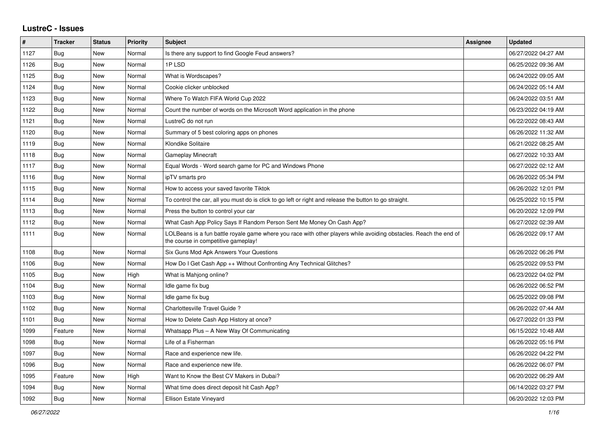## **LustreC - Issues**

| #    | <b>Tracker</b> | <b>Status</b> | <b>Priority</b> | <b>Subject</b>                                                                                                                                           | Assignee | <b>Updated</b>      |
|------|----------------|---------------|-----------------|----------------------------------------------------------------------------------------------------------------------------------------------------------|----------|---------------------|
| 1127 | Bug            | <b>New</b>    | Normal          | Is there any support to find Google Feud answers?                                                                                                        |          | 06/27/2022 04:27 AM |
| 1126 | Bug            | <b>New</b>    | Normal          | 1PLSD                                                                                                                                                    |          | 06/25/2022 09:36 AM |
| 1125 | <b>Bug</b>     | <b>New</b>    | Normal          | What is Wordscapes?                                                                                                                                      |          | 06/24/2022 09:05 AM |
| 1124 | <b>Bug</b>     | New           | Normal          | Cookie clicker unblocked                                                                                                                                 |          | 06/24/2022 05:14 AM |
| 1123 | <b>Bug</b>     | New           | Normal          | Where To Watch FIFA World Cup 2022                                                                                                                       |          | 06/24/2022 03:51 AM |
| 1122 | Bug            | <b>New</b>    | Normal          | Count the number of words on the Microsoft Word application in the phone                                                                                 |          | 06/23/2022 04:19 AM |
| 1121 | Bug            | New           | Normal          | LustreC do not run                                                                                                                                       |          | 06/22/2022 08:43 AM |
| 1120 | <b>Bug</b>     | New           | Normal          | Summary of 5 best coloring apps on phones                                                                                                                |          | 06/26/2022 11:32 AM |
| 1119 | Bug            | New           | Normal          | Klondike Solitaire                                                                                                                                       |          | 06/21/2022 08:25 AM |
| 1118 | <b>Bug</b>     | <b>New</b>    | Normal          | <b>Gameplay Minecraft</b>                                                                                                                                |          | 06/27/2022 10:33 AM |
| 1117 | Bug            | <b>New</b>    | Normal          | Equal Words - Word search game for PC and Windows Phone                                                                                                  |          | 06/27/2022 02:12 AM |
| 1116 | <b>Bug</b>     | <b>New</b>    | Normal          | ipTV smarts pro                                                                                                                                          |          | 06/26/2022 05:34 PM |
| 1115 | <b>Bug</b>     | New           | Normal          | How to access your saved favorite Tiktok                                                                                                                 |          | 06/26/2022 12:01 PM |
| 1114 | Bug            | <b>New</b>    | Normal          | To control the car, all you must do is click to go left or right and release the button to go straight.                                                  |          | 06/25/2022 10:15 PM |
| 1113 | <b>Bug</b>     | <b>New</b>    | Normal          | Press the button to control your car                                                                                                                     |          | 06/20/2022 12:09 PM |
| 1112 | <b>Bug</b>     | <b>New</b>    | Normal          | What Cash App Policy Says If Random Person Sent Me Money On Cash App?                                                                                    |          | 06/27/2022 02:39 AM |
| 1111 | <b>Bug</b>     | New           | Normal          | LOLBeans is a fun battle royale game where you race with other players while avoiding obstacles. Reach the end of<br>the course in competitive gameplay! |          | 06/26/2022 09:17 AM |
| 1108 | Bug            | <b>New</b>    | Normal          | Six Guns Mod Apk Answers Your Questions                                                                                                                  |          | 06/26/2022 06:26 PM |
| 1106 | <b>Bug</b>     | <b>New</b>    | Normal          | How Do I Get Cash App ++ Without Confronting Any Technical Glitches?                                                                                     |          | 06/25/2022 09:53 PM |
| 1105 | <b>Bug</b>     | New           | High            | What is Mahjong online?                                                                                                                                  |          | 06/23/2022 04:02 PM |
| 1104 | Bug            | New           | Normal          | Idle game fix bug                                                                                                                                        |          | 06/26/2022 06:52 PM |
| 1103 | <b>Bug</b>     | <b>New</b>    | Normal          | Idle game fix bug                                                                                                                                        |          | 06/25/2022 09:08 PM |
| 1102 | Bug            | <b>New</b>    | Normal          | Charlottesville Travel Guide?                                                                                                                            |          | 06/26/2022 07:44 AM |
| 1101 | <b>Bug</b>     | <b>New</b>    | Normal          | How to Delete Cash App History at once?                                                                                                                  |          | 06/27/2022 01:33 PM |
| 1099 | Feature        | <b>New</b>    | Normal          | Whatsapp Plus - A New Way Of Communicating                                                                                                               |          | 06/15/2022 10:48 AM |
| 1098 | <b>Bug</b>     | New           | Normal          | Life of a Fisherman                                                                                                                                      |          | 06/26/2022 05:16 PM |
| 1097 | <b>Bug</b>     | New           | Normal          | Race and experience new life.                                                                                                                            |          | 06/26/2022 04:22 PM |
| 1096 | Bug            | New           | Normal          | Race and experience new life.                                                                                                                            |          | 06/26/2022 06:07 PM |
| 1095 | Feature        | <b>New</b>    | High            | Want to Know the Best CV Makers in Dubai?                                                                                                                |          | 06/20/2022 06:29 AM |
| 1094 | Bug            | New           | Normal          | What time does direct deposit hit Cash App?                                                                                                              |          | 06/14/2022 03:27 PM |
| 1092 | Bug            | New           | Normal          | Ellison Estate Vineyard                                                                                                                                  |          | 06/20/2022 12:03 PM |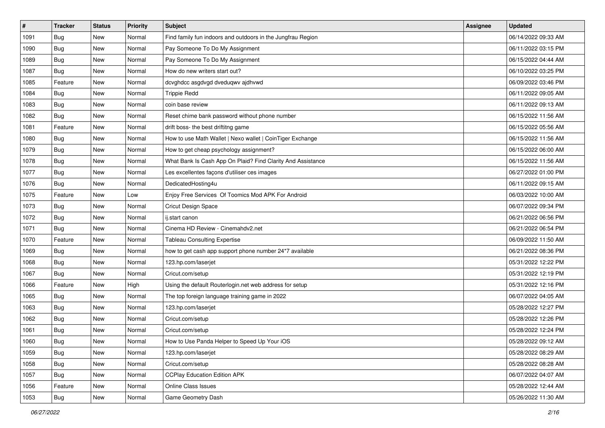| $\vert$ # | <b>Tracker</b> | <b>Status</b> | <b>Priority</b> | Subject                                                     | <b>Assignee</b> | <b>Updated</b>      |
|-----------|----------------|---------------|-----------------|-------------------------------------------------------------|-----------------|---------------------|
| 1091      | <b>Bug</b>     | New           | Normal          | Find family fun indoors and outdoors in the Jungfrau Region |                 | 06/14/2022 09:33 AM |
| 1090      | Bug            | New           | Normal          | Pay Someone To Do My Assignment                             |                 | 06/11/2022 03:15 PM |
| 1089      | Bug            | New           | Normal          | Pay Someone To Do My Assignment                             |                 | 06/15/2022 04:44 AM |
| 1087      | <b>Bug</b>     | New           | Normal          | How do new writers start out?                               |                 | 06/10/2022 03:25 PM |
| 1085      | Feature        | New           | Normal          | dcvghdcc asgdvgd dveduqwv ajdhvwd                           |                 | 06/09/2022 03:46 PM |
| 1084      | <b>Bug</b>     | New           | Normal          | <b>Trippie Redd</b>                                         |                 | 06/11/2022 09:05 AM |
| 1083      | <b>Bug</b>     | New           | Normal          | coin base review                                            |                 | 06/11/2022 09:13 AM |
| 1082      | Bug            | New           | Normal          | Reset chime bank password without phone number              |                 | 06/15/2022 11:56 AM |
| 1081      | Feature        | New           | Normal          | drift boss- the best driftitng game                         |                 | 06/15/2022 05:56 AM |
| 1080      | Bug            | New           | Normal          | How to use Math Wallet   Nexo wallet   CoinTiger Exchange   |                 | 06/15/2022 11:56 AM |
| 1079      | <b>Bug</b>     | New           | Normal          | How to get cheap psychology assignment?                     |                 | 06/15/2022 06:00 AM |
| 1078      | Bug            | New           | Normal          | What Bank Is Cash App On Plaid? Find Clarity And Assistance |                 | 06/15/2022 11:56 AM |
| 1077      | Bug            | New           | Normal          | Les excellentes façons d'utiliser ces images                |                 | 06/27/2022 01:00 PM |
| 1076      | <b>Bug</b>     | New           | Normal          | DedicatedHosting4u                                          |                 | 06/11/2022 09:15 AM |
| 1075      | Feature        | New           | Low             | Enjoy Free Services Of Toomics Mod APK For Android          |                 | 06/03/2022 10:00 AM |
| 1073      | <b>Bug</b>     | New           | Normal          | Cricut Design Space                                         |                 | 06/07/2022 09:34 PM |
| 1072      | <b>Bug</b>     | New           | Normal          | ij.start canon                                              |                 | 06/21/2022 06:56 PM |
| 1071      | Bug            | New           | Normal          | Cinema HD Review - Cinemahdy2.net                           |                 | 06/21/2022 06:54 PM |
| 1070      | Feature        | New           | Normal          | <b>Tableau Consulting Expertise</b>                         |                 | 06/09/2022 11:50 AM |
| 1069      | Bug            | New           | Normal          | how to get cash app support phone number 24*7 available     |                 | 06/21/2022 08:36 PM |
| 1068      | Bug            | New           | Normal          | 123.hp.com/laserjet                                         |                 | 05/31/2022 12:22 PM |
| 1067      | <b>Bug</b>     | New           | Normal          | Cricut.com/setup                                            |                 | 05/31/2022 12:19 PM |
| 1066      | Feature        | New           | High            | Using the default Routerlogin.net web address for setup     |                 | 05/31/2022 12:16 PM |
| 1065      | Bug            | New           | Normal          | The top foreign language training game in 2022              |                 | 06/07/2022 04:05 AM |
| 1063      | Bug            | New           | Normal          | 123.hp.com/laserjet                                         |                 | 05/28/2022 12:27 PM |
| 1062      | Bug            | New           | Normal          | Cricut.com/setup                                            |                 | 05/28/2022 12:26 PM |
| 1061      | <b>Bug</b>     | New           | Normal          | Cricut.com/setup                                            |                 | 05/28/2022 12:24 PM |
| 1060      | I Bug          | New           | Normal          | How to Use Panda Helper to Speed Up Your iOS                |                 | 05/28/2022 09:12 AM |
| 1059      | <b>Bug</b>     | New           | Normal          | 123.hp.com/laserjet                                         |                 | 05/28/2022 08:29 AM |
| 1058      | Bug            | New           | Normal          | Cricut.com/setup                                            |                 | 05/28/2022 08:28 AM |
| 1057      | Bug            | New           | Normal          | <b>CCPlay Education Edition APK</b>                         |                 | 06/07/2022 04:07 AM |
| 1056      | Feature        | New           | Normal          | <b>Online Class Issues</b>                                  |                 | 05/28/2022 12:44 AM |
| 1053      | <b>Bug</b>     | New           | Normal          | Game Geometry Dash                                          |                 | 05/26/2022 11:30 AM |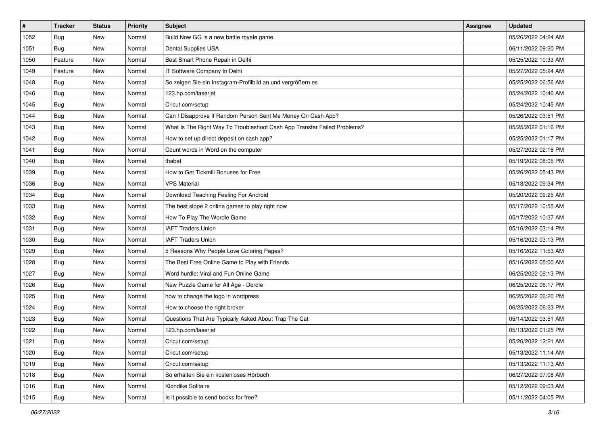| $\vert$ # | <b>Tracker</b> | <b>Status</b> | <b>Priority</b> | Subject                                                                  | <b>Assignee</b> | <b>Updated</b>      |
|-----------|----------------|---------------|-----------------|--------------------------------------------------------------------------|-----------------|---------------------|
| 1052      | <b>Bug</b>     | New           | Normal          | Build Now GG is a new battle royale game.                                |                 | 05/26/2022 04:24 AM |
| 1051      | Bug            | New           | Normal          | Dental Supplies USA                                                      |                 | 06/11/2022 09:20 PM |
| 1050      | Feature        | New           | Normal          | Best Smart Phone Repair in Delhi                                         |                 | 05/25/2022 10:33 AM |
| 1049      | Feature        | New           | Normal          | IT Software Company In Delhi                                             |                 | 05/27/2022 05:24 AM |
| 1048      | Bug            | New           | Normal          | So zeigen Sie ein Instagram-Profilbild an und vergrößern es              |                 | 05/25/2022 06:56 AM |
| 1046      | <b>Bug</b>     | New           | Normal          | 123.hp.com/laserjet                                                      |                 | 05/24/2022 10:46 AM |
| 1045      | <b>Bug</b>     | New           | Normal          | Cricut.com/setup                                                         |                 | 05/24/2022 10:45 AM |
| 1044      | Bug            | New           | Normal          | Can I Disapprove If Random Person Sent Me Money On Cash App?             |                 | 05/26/2022 03:51 PM |
| 1043      | <b>Bug</b>     | New           | Normal          | What Is The Right Way To Troubleshoot Cash App Transfer Failed Problems? |                 | 05/25/2022 01:16 PM |
| 1042      | Bug            | New           | Normal          | How to set up direct deposit on cash app?                                |                 | 05/25/2022 01:17 PM |
| 1041      | <b>Bug</b>     | New           | Normal          | Count words in Word on the computer                                      |                 | 05/27/2022 02:16 PM |
| 1040      | Bug            | New           | Normal          | thabet                                                                   |                 | 05/19/2022 08:05 PM |
| 1039      | Bug            | New           | Normal          | How to Get Tickmill Bonuses for Free                                     |                 | 05/26/2022 05:43 PM |
| 1036      | <b>Bug</b>     | New           | Normal          | <b>VPS Material</b>                                                      |                 | 05/18/2022 09:34 PM |
| 1034      | Bug            | New           | Normal          | Download Teaching Feeling For Android                                    |                 | 05/20/2022 09:25 AM |
| 1033      | <b>Bug</b>     | New           | Normal          | The best slope 2 online games to play right now                          |                 | 05/17/2022 10:55 AM |
| 1032      | <b>Bug</b>     | New           | Normal          | How To Play The Wordle Game                                              |                 | 05/17/2022 10:37 AM |
| 1031      | Bug            | New           | Normal          | <b>IAFT Traders Union</b>                                                |                 | 05/16/2022 03:14 PM |
| 1030      | <b>Bug</b>     | New           | Normal          | <b>IAFT Traders Union</b>                                                |                 | 05/16/2022 03:13 PM |
| 1029      | Bug            | New           | Normal          | 5 Reasons Why People Love Coloring Pages?                                |                 | 05/16/2022 11:53 AM |
| 1028      | Bug            | New           | Normal          | The Best Free Online Game to Play with Friends                           |                 | 05/16/2022 05:00 AM |
| 1027      | <b>Bug</b>     | New           | Normal          | Word hurdle: Viral and Fun Online Game                                   |                 | 06/25/2022 06:13 PM |
| 1026      | Bug            | New           | Normal          | New Puzzle Game for All Age - Dordle                                     |                 | 06/25/2022 06:17 PM |
| 1025      | Bug            | New           | Normal          | how to change the logo in wordpress                                      |                 | 06/25/2022 06:20 PM |
| 1024      | <b>Bug</b>     | New           | Normal          | How to choose the right broker                                           |                 | 06/25/2022 06:23 PM |
| 1023      | <b>Bug</b>     | New           | Normal          | Questions That Are Typically Asked About Trap The Cat                    |                 | 05/14/2022 03:51 AM |
| 1022      | <b>Bug</b>     | New           | Normal          | 123.hp.com/laserjet                                                      |                 | 05/13/2022 01:25 PM |
| 1021      | Bug            | New           | Normal          | Cricut.com/setup                                                         |                 | 05/26/2022 12:21 AM |
| 1020      | Bug            | New           | Normal          | Cricut.com/setup                                                         |                 | 05/13/2022 11:14 AM |
| 1019      | <b>Bug</b>     | New           | Normal          | Cricut.com/setup                                                         |                 | 05/13/2022 11:13 AM |
| 1018      | Bug            | New           | Normal          | So erhalten Sie ein kostenloses Hörbuch                                  |                 | 06/27/2022 07:08 AM |
| 1016      | Bug            | New           | Normal          | Klondike Solitaire                                                       |                 | 05/12/2022 09:03 AM |
| 1015      | <b>Bug</b>     | New           | Normal          | Is it possible to send books for free?                                   |                 | 05/11/2022 04:05 PM |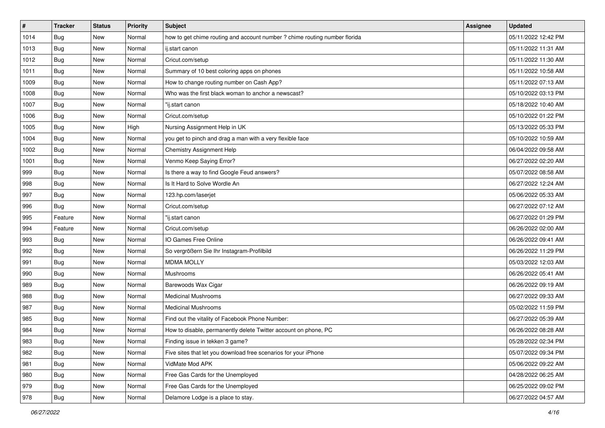| #    | <b>Tracker</b> | <b>Status</b> | <b>Priority</b> | <b>Subject</b>                                                             | <b>Assignee</b> | <b>Updated</b>      |
|------|----------------|---------------|-----------------|----------------------------------------------------------------------------|-----------------|---------------------|
| 1014 | Bug            | New           | Normal          | how to get chime routing and account number ? chime routing number florida |                 | 05/11/2022 12:42 PM |
| 1013 | <b>Bug</b>     | New           | Normal          | ij.start canon                                                             |                 | 05/11/2022 11:31 AM |
| 1012 | Bug            | New           | Normal          | Cricut.com/setup                                                           |                 | 05/11/2022 11:30 AM |
| 1011 | Bug            | New           | Normal          | Summary of 10 best coloring apps on phones                                 |                 | 05/11/2022 10:58 AM |
| 1009 | Bug            | New           | Normal          | How to change routing number on Cash App?                                  |                 | 05/11/2022 07:13 AM |
| 1008 | Bug            | New           | Normal          | Who was the first black woman to anchor a newscast?                        |                 | 05/10/2022 03:13 PM |
| 1007 | <b>Bug</b>     | New           | Normal          | "ij.start canon                                                            |                 | 05/18/2022 10:40 AM |
| 1006 | Bug            | New           | Normal          | Cricut.com/setup                                                           |                 | 05/10/2022 01:22 PM |
| 1005 | Bug            | New           | High            | Nursing Assignment Help in UK                                              |                 | 05/13/2022 05:33 PM |
| 1004 | Bug            | New           | Normal          | you get to pinch and drag a man with a very flexible face                  |                 | 05/10/2022 10:59 AM |
| 1002 | Bug            | New           | Normal          | Chemistry Assignment Help                                                  |                 | 06/04/2022 09:58 AM |
| 1001 | <b>Bug</b>     | New           | Normal          | Venmo Keep Saying Error?                                                   |                 | 06/27/2022 02:20 AM |
| 999  | Bug            | New           | Normal          | Is there a way to find Google Feud answers?                                |                 | 05/07/2022 08:58 AM |
| 998  | <b>Bug</b>     | New           | Normal          | Is It Hard to Solve Wordle An                                              |                 | 06/27/2022 12:24 AM |
| 997  | Bug            | New           | Normal          | 123.hp.com/laserjet                                                        |                 | 05/06/2022 05:33 AM |
| 996  | <b>Bug</b>     | New           | Normal          | Cricut.com/setup                                                           |                 | 06/27/2022 07:12 AM |
| 995  | Feature        | New           | Normal          | "ij.start canon                                                            |                 | 06/27/2022 01:29 PM |
| 994  | Feature        | New           | Normal          | Cricut.com/setup                                                           |                 | 06/26/2022 02:00 AM |
| 993  | Bug            | New           | Normal          | IO Games Free Online                                                       |                 | 06/26/2022 09:41 AM |
| 992  | <b>Bug</b>     | New           | Normal          | So vergrößern Sie Ihr Instagram-Profilbild                                 |                 | 06/26/2022 11:29 PM |
| 991  | Bug            | New           | Normal          | <b>MDMA MOLLY</b>                                                          |                 | 05/03/2022 12:03 AM |
| 990  | <b>Bug</b>     | New           | Normal          | Mushrooms                                                                  |                 | 06/26/2022 05:41 AM |
| 989  | Bug            | New           | Normal          | Barewoods Wax Cigar                                                        |                 | 06/26/2022 09:19 AM |
| 988  | <b>Bug</b>     | New           | Normal          | <b>Medicinal Mushrooms</b>                                                 |                 | 06/27/2022 09:33 AM |
| 987  | Bug            | New           | Normal          | <b>Medicinal Mushrooms</b>                                                 |                 | 05/02/2022 11:59 PM |
| 985  | Bug            | New           | Normal          | Find out the vitality of Facebook Phone Number:                            |                 | 06/27/2022 05:39 AM |
| 984  | <b>Bug</b>     | New           | Normal          | How to disable, permanently delete Twitter account on phone, PC            |                 | 06/26/2022 08:28 AM |
| 983  | Bug            | New           | Normal          | Finding issue in tekken 3 game?                                            |                 | 05/28/2022 02:34 PM |
| 982  | Bug            | New           | Normal          | Five sites that let you download free scenarios for your iPhone            |                 | 05/07/2022 09:34 PM |
| 981  | <b>Bug</b>     | New           | Normal          | VidMate Mod APK                                                            |                 | 05/06/2022 09:22 AM |
| 980  | <b>Bug</b>     | New           | Normal          | Free Gas Cards for the Unemployed                                          |                 | 04/28/2022 06:25 AM |
| 979  | <b>Bug</b>     | New           | Normal          | Free Gas Cards for the Unemployed                                          |                 | 06/25/2022 09:02 PM |
| 978  | Bug            | New           | Normal          | Delamore Lodge is a place to stay.                                         |                 | 06/27/2022 04:57 AM |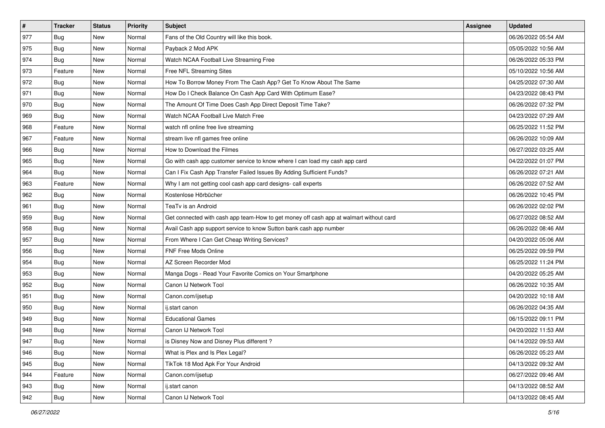| $\vert$ # | <b>Tracker</b> | <b>Status</b> | <b>Priority</b> | Subject                                                                                | <b>Assignee</b> | <b>Updated</b>      |
|-----------|----------------|---------------|-----------------|----------------------------------------------------------------------------------------|-----------------|---------------------|
| 977       | Bug            | New           | Normal          | Fans of the Old Country will like this book.                                           |                 | 06/26/2022 05:54 AM |
| 975       | <b>Bug</b>     | New           | Normal          | Payback 2 Mod APK                                                                      |                 | 05/05/2022 10:56 AM |
| 974       | Bug            | New           | Normal          | Watch NCAA Football Live Streaming Free                                                |                 | 06/26/2022 05:33 PM |
| 973       | Feature        | New           | Normal          | Free NFL Streaming Sites                                                               |                 | 05/10/2022 10:56 AM |
| 972       | Bug            | New           | Normal          | How To Borrow Money From The Cash App? Get To Know About The Same                      |                 | 04/25/2022 07:30 AM |
| 971       | <b>Bug</b>     | New           | Normal          | How Do I Check Balance On Cash App Card With Optimum Ease?                             |                 | 04/23/2022 08:43 PM |
| 970       | Bug            | New           | Normal          | The Amount Of Time Does Cash App Direct Deposit Time Take?                             |                 | 06/26/2022 07:32 PM |
| 969       | Bug            | New           | Normal          | Watch NCAA Football Live Match Free                                                    |                 | 04/23/2022 07:29 AM |
| 968       | Feature        | New           | Normal          | watch nfl online free live streaming                                                   |                 | 06/25/2022 11:52 PM |
| 967       | Feature        | New           | Normal          | stream live nfl games free online                                                      |                 | 06/26/2022 10:09 AM |
| 966       | <b>Bug</b>     | New           | Normal          | How to Download the Filmes                                                             |                 | 06/27/2022 03:25 AM |
| 965       | Bug            | New           | Normal          | Go with cash app customer service to know where I can load my cash app card            |                 | 04/22/2022 01:07 PM |
| 964       | <b>Bug</b>     | New           | Normal          | Can I Fix Cash App Transfer Failed Issues By Adding Sufficient Funds?                  |                 | 06/26/2022 07:21 AM |
| 963       | Feature        | New           | Normal          | Why I am not getting cool cash app card designs- call experts                          |                 | 06/26/2022 07:52 AM |
| 962       | Bug            | New           | Normal          | Kostenlose Hörbücher                                                                   |                 | 06/26/2022 10:45 PM |
| 961       | Bug            | New           | Normal          | TeaTv is an Android                                                                    |                 | 06/26/2022 02:02 PM |
| 959       | <b>Bug</b>     | New           | Normal          | Get connected with cash app team-How to get money off cash app at walmart without card |                 | 06/27/2022 08:52 AM |
| 958       | Bug            | <b>New</b>    | Normal          | Avail Cash app support service to know Sutton bank cash app number                     |                 | 06/26/2022 08:46 AM |
| 957       | Bug            | New           | Normal          | From Where I Can Get Cheap Writing Services?                                           |                 | 04/20/2022 05:06 AM |
| 956       | Bug            | New           | Normal          | FNF Free Mods Online                                                                   |                 | 06/25/2022 09:59 PM |
| 954       | Bug            | New           | Normal          | AZ Screen Recorder Mod                                                                 |                 | 06/25/2022 11:24 PM |
| 953       | Bug            | New           | Normal          | Manga Dogs - Read Your Favorite Comics on Your Smartphone                              |                 | 04/20/2022 05:25 AM |
| 952       | Bug            | New           | Normal          | Canon IJ Network Tool                                                                  |                 | 06/26/2022 10:35 AM |
| 951       | <b>Bug</b>     | New           | Normal          | Canon.com/ijsetup                                                                      |                 | 04/20/2022 10:18 AM |
| 950       | Bug            | New           | Normal          | ij.start canon                                                                         |                 | 06/26/2022 04:35 AM |
| 949       | Bug            | New           | Normal          | <b>Educational Games</b>                                                               |                 | 06/15/2022 09:11 PM |
| 948       | <b>Bug</b>     | New           | Normal          | Canon IJ Network Tool                                                                  |                 | 04/20/2022 11:53 AM |
| 947       | <b>Bug</b>     | New           | Normal          | is Disney Now and Disney Plus different?                                               |                 | 04/14/2022 09:53 AM |
| 946       | <b>Bug</b>     | New           | Normal          | What is Plex and Is Plex Legal?                                                        |                 | 06/26/2022 05:23 AM |
| 945       | <b>Bug</b>     | New           | Normal          | TikTok 18 Mod Apk For Your Android                                                     |                 | 04/13/2022 09:32 AM |
| 944       | Feature        | New           | Normal          | Canon.com/ijsetup                                                                      |                 | 06/27/2022 09:46 AM |
| 943       | <b>Bug</b>     | New           | Normal          | ij.start canon                                                                         |                 | 04/13/2022 08:52 AM |
| 942       | <b>Bug</b>     | New           | Normal          | Canon IJ Network Tool                                                                  |                 | 04/13/2022 08:45 AM |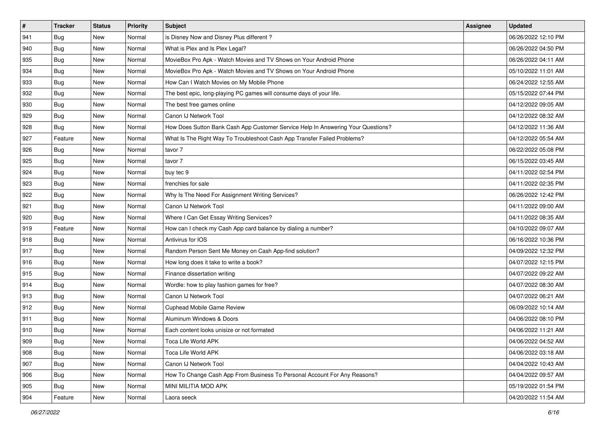| #             | <b>Tracker</b> | <b>Status</b> | <b>Priority</b> | Subject                                                                          | <b>Assignee</b> | <b>Updated</b>      |
|---------------|----------------|---------------|-----------------|----------------------------------------------------------------------------------|-----------------|---------------------|
| 941           | <b>Bug</b>     | New           | Normal          | is Disney Now and Disney Plus different?                                         |                 | 06/26/2022 12:10 PM |
| 940           | <b>Bug</b>     | New           | Normal          | What is Plex and Is Plex Legal?                                                  |                 | 06/26/2022 04:50 PM |
| 935           | <b>Bug</b>     | New           | Normal          | MovieBox Pro Apk - Watch Movies and TV Shows on Your Android Phone               |                 | 06/26/2022 04:11 AM |
| 934           | <b>Bug</b>     | New           | Normal          | MovieBox Pro Apk - Watch Movies and TV Shows on Your Android Phone               |                 | 05/10/2022 11:01 AM |
| 933           | Bug            | New           | Normal          | How Can I Watch Movies on My Mobile Phone                                        |                 | 06/24/2022 12:55 AM |
| 932           | <b>Bug</b>     | New           | Normal          | The best epic, long-playing PC games will consume days of your life.             |                 | 05/15/2022 07:44 PM |
| 930           | <b>Bug</b>     | New           | Normal          | The best free games online                                                       |                 | 04/12/2022 09:05 AM |
| 929           | Bug            | New           | Normal          | Canon IJ Network Tool                                                            |                 | 04/12/2022 08:32 AM |
| 928           | Bug            | New           | Normal          | How Does Sutton Bank Cash App Customer Service Help In Answering Your Questions? |                 | 04/12/2022 11:36 AM |
| 927           | Feature        | New           | Normal          | What Is The Right Way To Troubleshoot Cash App Transfer Failed Problems?         |                 | 04/12/2022 05:54 AM |
| 926           | Bug            | New           | Normal          | tavor 7                                                                          |                 | 06/22/2022 05:08 PM |
| 925           | Bug            | New           | Normal          | tavor 7                                                                          |                 | 06/15/2022 03:45 AM |
| 924           | Bug            | New           | Normal          | buy tec 9                                                                        |                 | 04/11/2022 02:54 PM |
| 923           | <b>Bug</b>     | New           | Normal          | frenchies for sale                                                               |                 | 04/11/2022 02:35 PM |
| 922           | <b>Bug</b>     | New           | Normal          | Why Is The Need For Assignment Writing Services?                                 |                 | 06/26/2022 12:42 PM |
| 921           | Bug            | New           | Normal          | Canon IJ Network Tool                                                            |                 | 04/11/2022 09:00 AM |
| 920           | <b>Bug</b>     | New           | Normal          | Where I Can Get Essay Writing Services?                                          |                 | 04/11/2022 08:35 AM |
| 919           | Feature        | New           | Normal          | How can I check my Cash App card balance by dialing a number?                    |                 | 04/10/2022 09:07 AM |
| 918           | <b>Bug</b>     | New           | Normal          | Antivirus for IOS                                                                |                 | 06/16/2022 10:36 PM |
| 917           | <b>Bug</b>     | New           | Normal          | Random Person Sent Me Money on Cash App-find solution?                           |                 | 04/09/2022 12:32 PM |
| 916           | <b>Bug</b>     | New           | Normal          | How long does it take to write a book?                                           |                 | 04/07/2022 12:15 PM |
| 915           | <b>Bug</b>     | New           | Normal          | Finance dissertation writing                                                     |                 | 04/07/2022 09:22 AM |
| 914           | Bug            | New           | Normal          | Wordle: how to play fashion games for free?                                      |                 | 04/07/2022 08:30 AM |
| 913           | <b>Bug</b>     | New           | Normal          | Canon IJ Network Tool                                                            |                 | 04/07/2022 06:21 AM |
| 912           | Bug            | New           | Normal          | <b>Cuphead Mobile Game Review</b>                                                |                 | 06/09/2022 10:14 AM |
| 911           | <b>Bug</b>     | New           | Normal          | Aluminum Windows & Doors                                                         |                 | 04/06/2022 08:10 PM |
| 910           | <b>Bug</b>     | New           | Normal          | Each content looks unisize or not formated                                       |                 | 04/06/2022 11:21 AM |
| $ 909\rangle$ | Bug            | New           | Normal          | Toca Life World APK                                                              |                 | 04/06/2022 04:52 AM |
| 908           | Bug            | New           | Normal          | Toca Life World APK                                                              |                 | 04/06/2022 03:18 AM |
| 907           | <b>Bug</b>     | New           | Normal          | Canon IJ Network Tool                                                            |                 | 04/04/2022 10:43 AM |
| 906           | Bug            | New           | Normal          | How To Change Cash App From Business To Personal Account For Any Reasons?        |                 | 04/04/2022 09:57 AM |
| 905           | <b>Bug</b>     | New           | Normal          | MINI MILITIA MOD APK                                                             |                 | 05/19/2022 01:54 PM |
| 904           | Feature        | New           | Normal          | Laora seeck                                                                      |                 | 04/20/2022 11:54 AM |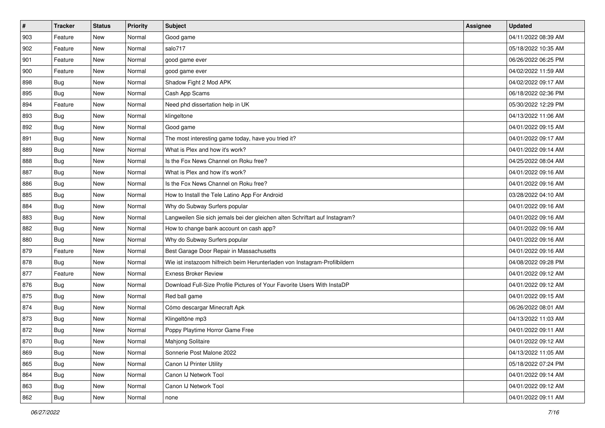| $\pmb{\#}$ | <b>Tracker</b> | <b>Status</b> | Priority | <b>Subject</b>                                                              | <b>Assignee</b> | <b>Updated</b>      |
|------------|----------------|---------------|----------|-----------------------------------------------------------------------------|-----------------|---------------------|
| 903        | Feature        | New           | Normal   | Good game                                                                   |                 | 04/11/2022 08:39 AM |
| 902        | Feature        | New           | Normal   | salo717                                                                     |                 | 05/18/2022 10:35 AM |
| 901        | Feature        | New           | Normal   | good game ever                                                              |                 | 06/26/2022 06:25 PM |
| 900        | Feature        | New           | Normal   | good game ever                                                              |                 | 04/02/2022 11:59 AM |
| 898        | <b>Bug</b>     | New           | Normal   | Shadow Fight 2 Mod APK                                                      |                 | 04/02/2022 09:17 AM |
| 895        | <b>Bug</b>     | New           | Normal   | Cash App Scams                                                              |                 | 06/18/2022 02:36 PM |
| 894        | Feature        | New           | Normal   | Need phd dissertation help in UK                                            |                 | 05/30/2022 12:29 PM |
| 893        | <b>Bug</b>     | New           | Normal   | klingeltone                                                                 |                 | 04/13/2022 11:06 AM |
| 892        | <b>Bug</b>     | New           | Normal   | Good game                                                                   |                 | 04/01/2022 09:15 AM |
| 891        | <b>Bug</b>     | <b>New</b>    | Normal   | The most interesting game today, have you tried it?                         |                 | 04/01/2022 09:17 AM |
| 889        | <b>Bug</b>     | New           | Normal   | What is Plex and how it's work?                                             |                 | 04/01/2022 09:14 AM |
| 888        | <b>Bug</b>     | New           | Normal   | Is the Fox News Channel on Roku free?                                       |                 | 04/25/2022 08:04 AM |
| 887        | Bug            | New           | Normal   | What is Plex and how it's work?                                             |                 | 04/01/2022 09:16 AM |
| 886        | <b>Bug</b>     | New           | Normal   | Is the Fox News Channel on Roku free?                                       |                 | 04/01/2022 09:16 AM |
| 885        | <b>Bug</b>     | <b>New</b>    | Normal   | How to Install the Tele Latino App For Android                              |                 | 03/28/2022 04:10 AM |
| 884        | <b>Bug</b>     | New           | Normal   | Why do Subway Surfers popular                                               |                 | 04/01/2022 09:16 AM |
| 883        | <b>Bug</b>     | <b>New</b>    | Normal   | Langweilen Sie sich jemals bei der gleichen alten Schriftart auf Instagram? |                 | 04/01/2022 09:16 AM |
| 882        | Bug            | New           | Normal   | How to change bank account on cash app?                                     |                 | 04/01/2022 09:16 AM |
| 880        | <b>Bug</b>     | New           | Normal   | Why do Subway Surfers popular                                               |                 | 04/01/2022 09:16 AM |
| 879        | Feature        | <b>New</b>    | Normal   | Best Garage Door Repair in Massachusetts                                    |                 | 04/01/2022 09:16 AM |
| 878        | Bug            | New           | Normal   | Wie ist instazoom hilfreich beim Herunterladen von Instagram-Profilbildern  |                 | 04/08/2022 09:28 PM |
| 877        | Feature        | New           | Normal   | <b>Exness Broker Review</b>                                                 |                 | 04/01/2022 09:12 AM |
| 876        | Bug            | New           | Normal   | Download Full-Size Profile Pictures of Your Favorite Users With InstaDP     |                 | 04/01/2022 09:12 AM |
| 875        | Bug            | New           | Normal   | Red ball game                                                               |                 | 04/01/2022 09:15 AM |
| 874        | <b>Bug</b>     | New           | Normal   | Cómo descargar Minecraft Apk                                                |                 | 06/26/2022 08:01 AM |
| 873        | <b>Bug</b>     | New           | Normal   | Klingeltöne mp3                                                             |                 | 04/13/2022 11:03 AM |
| 872        | Bug            | New           | Normal   | Poppy Playtime Horror Game Free                                             |                 | 04/01/2022 09:11 AM |
| 870        | i Bug          | New           | Normal   | Mahjong Solitaire                                                           |                 | 04/01/2022 09:12 AM |
| 869        | Bug            | New           | Normal   | Sonnerie Post Malone 2022                                                   |                 | 04/13/2022 11:05 AM |
| 865        | Bug            | New           | Normal   | Canon IJ Printer Utility                                                    |                 | 05/18/2022 07:24 PM |
| 864        | Bug            | New           | Normal   | Canon IJ Network Tool                                                       |                 | 04/01/2022 09:14 AM |
| 863        | <b>Bug</b>     | New           | Normal   | Canon IJ Network Tool                                                       |                 | 04/01/2022 09:12 AM |
| 862        | <b>Bug</b>     | New           | Normal   | none                                                                        |                 | 04/01/2022 09:11 AM |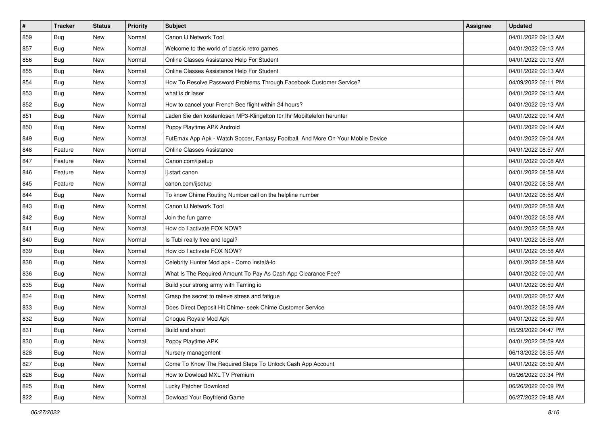| $\sharp$ | <b>Tracker</b> | <b>Status</b> | <b>Priority</b> | Subject                                                                          | Assignee | <b>Updated</b>      |
|----------|----------------|---------------|-----------------|----------------------------------------------------------------------------------|----------|---------------------|
| 859      | <b>Bug</b>     | New           | Normal          | Canon IJ Network Tool                                                            |          | 04/01/2022 09:13 AM |
| 857      | <b>Bug</b>     | New           | Normal          | Welcome to the world of classic retro games                                      |          | 04/01/2022 09:13 AM |
| 856      | Bug            | New           | Normal          | Online Classes Assistance Help For Student                                       |          | 04/01/2022 09:13 AM |
| 855      | <b>Bug</b>     | New           | Normal          | Online Classes Assistance Help For Student                                       |          | 04/01/2022 09:13 AM |
| 854      | Bug            | New           | Normal          | How To Resolve Password Problems Through Facebook Customer Service?              |          | 04/09/2022 06:11 PM |
| 853      | <b>Bug</b>     | New           | Normal          | what is dr laser                                                                 |          | 04/01/2022 09:13 AM |
| 852      | Bug            | New           | Normal          | How to cancel your French Bee flight within 24 hours?                            |          | 04/01/2022 09:13 AM |
| 851      | <b>Bug</b>     | New           | Normal          | Laden Sie den kostenlosen MP3-Klingelton für Ihr Mobiltelefon herunter           |          | 04/01/2022 09:14 AM |
| 850      | Bug            | New           | Normal          | Puppy Playtime APK Android                                                       |          | 04/01/2022 09:14 AM |
| 849      | Bug            | New           | Normal          | FutEmax App Apk - Watch Soccer, Fantasy Football, And More On Your Mobile Device |          | 04/01/2022 09:04 AM |
| 848      | Feature        | New           | Normal          | <b>Online Classes Assistance</b>                                                 |          | 04/01/2022 08:57 AM |
| 847      | Feature        | New           | Normal          | Canon.com/ijsetup                                                                |          | 04/01/2022 09:08 AM |
| 846      | Feature        | New           | Normal          | ij.start canon                                                                   |          | 04/01/2022 08:58 AM |
| 845      | Feature        | New           | Normal          | canon.com/ijsetup                                                                |          | 04/01/2022 08:58 AM |
| 844      | <b>Bug</b>     | New           | Normal          | To know Chime Routing Number call on the helpline number                         |          | 04/01/2022 08:58 AM |
| 843      | Bug            | New           | Normal          | Canon IJ Network Tool                                                            |          | 04/01/2022 08:58 AM |
| 842      | <b>Bug</b>     | New           | Normal          | Join the fun game                                                                |          | 04/01/2022 08:58 AM |
| 841      | Bug            | <b>New</b>    | Normal          | How do I activate FOX NOW?                                                       |          | 04/01/2022 08:58 AM |
| 840      | Bug            | New           | Normal          | Is Tubi really free and legal?                                                   |          | 04/01/2022 08:58 AM |
| 839      | Bug            | New           | Normal          | How do I activate FOX NOW?                                                       |          | 04/01/2022 08:58 AM |
| 838      | <b>Bug</b>     | New           | Normal          | Celebrity Hunter Mod apk - Como instalá-lo                                       |          | 04/01/2022 08:58 AM |
| 836      | Bug            | New           | Normal          | What Is The Required Amount To Pay As Cash App Clearance Fee?                    |          | 04/01/2022 09:00 AM |
| 835      | Bug            | New           | Normal          | Build your strong army with Taming io                                            |          | 04/01/2022 08:59 AM |
| 834      | <b>Bug</b>     | New           | Normal          | Grasp the secret to relieve stress and fatigue                                   |          | 04/01/2022 08:57 AM |
| 833      | Bug            | New           | Normal          | Does Direct Deposit Hit Chime- seek Chime Customer Service                       |          | 04/01/2022 08:59 AM |
| 832      | Bug            | New           | Normal          | Choque Royale Mod Apk                                                            |          | 04/01/2022 08:59 AM |
| 831      | <b>Bug</b>     | New           | Normal          | Build and shoot                                                                  |          | 05/29/2022 04:47 PM |
| 830      | I Bug          | New           | Normal          | Poppy Playtime APK                                                               |          | 04/01/2022 08:59 AM |
| 828      | <b>Bug</b>     | New           | Normal          | Nursery management                                                               |          | 06/13/2022 08:55 AM |
| 827      | <b>Bug</b>     | New           | Normal          | Come To Know The Required Steps To Unlock Cash App Account                       |          | 04/01/2022 08:59 AM |
| 826      | <b>Bug</b>     | New           | Normal          | How to Dowload MXL TV Premium                                                    |          | 05/26/2022 03:34 PM |
| 825      | Bug            | New           | Normal          | Lucky Patcher Download                                                           |          | 06/26/2022 06:09 PM |
| 822      | <b>Bug</b>     | New           | Normal          | Dowload Your Boyfriend Game                                                      |          | 06/27/2022 09:48 AM |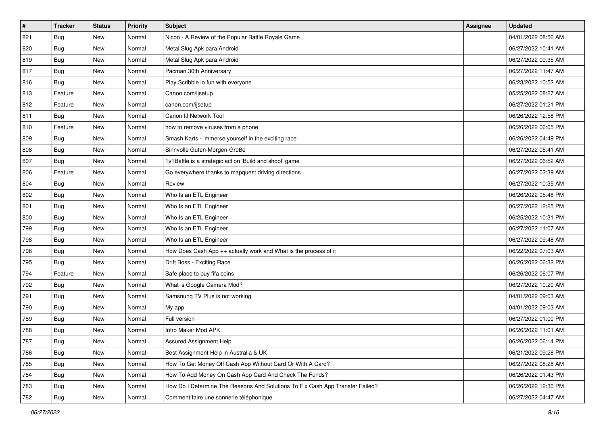| #   | <b>Tracker</b> | <b>Status</b> | <b>Priority</b> | Subject                                                                       | <b>Assignee</b> | <b>Updated</b>      |
|-----|----------------|---------------|-----------------|-------------------------------------------------------------------------------|-----------------|---------------------|
| 821 | <b>Bug</b>     | New           | Normal          | Nicoo - A Review of the Popular Battle Royale Game                            |                 | 04/01/2022 08:56 AM |
| 820 | Bug            | New           | Normal          | Metal Slug Apk para Android                                                   |                 | 06/27/2022 10:41 AM |
| 819 | <b>Bug</b>     | New           | Normal          | Metal Slug Apk para Android                                                   |                 | 06/27/2022 09:35 AM |
| 817 | Bug            | New           | Normal          | Pacman 30th Anniversary                                                       |                 | 06/27/2022 11:47 AM |
| 816 | <b>Bug</b>     | New           | Normal          | Play Scribble io fun with everyone                                            |                 | 06/23/2022 10:52 AM |
| 813 | Feature        | New           | Normal          | Canon.com/ijsetup                                                             |                 | 05/25/2022 08:27 AM |
| 812 | Feature        | New           | Normal          | canon.com/ijsetup                                                             |                 | 06/27/2022 01:21 PM |
| 811 | Bug            | New           | Normal          | Canon IJ Network Tool                                                         |                 | 06/26/2022 12:58 PM |
| 810 | Feature        | New           | Normal          | how to remove viruses from a phone                                            |                 | 06/26/2022 06:05 PM |
| 809 | Bug            | New           | Normal          | Smash Karts - immerse yourself in the exciting race                           |                 | 06/26/2022 04:49 PM |
| 808 | <b>Bug</b>     | New           | Normal          | Sinnvolle Guten-Morgen-Grüße                                                  |                 | 06/27/2022 05:41 AM |
| 807 | <b>Bug</b>     | New           | Normal          | 1v1Battle is a strategic action 'Build and shoot' game                        |                 | 06/27/2022 06:52 AM |
| 806 | Feature        | New           | Normal          | Go everywhere thanks to mapquest driving directions                           |                 | 06/27/2022 02:39 AM |
| 804 | Bug            | New           | Normal          | Review                                                                        |                 | 06/27/2022 10:35 AM |
| 802 | <b>Bug</b>     | New           | Normal          | Who Is an ETL Engineer                                                        |                 | 06/26/2022 05:48 PM |
| 801 | <b>Bug</b>     | New           | Normal          | Who Is an ETL Engineer                                                        |                 | 06/27/2022 12:25 PM |
| 800 | <b>Bug</b>     | New           | Normal          | Who Is an ETL Engineer                                                        |                 | 06/25/2022 10:31 PM |
| 799 | Bug            | New           | Normal          | Who Is an ETL Engineer                                                        |                 | 06/27/2022 11:07 AM |
| 798 | Bug            | New           | Normal          | Who Is an ETL Engineer                                                        |                 | 06/27/2022 09:48 AM |
| 796 | <b>Bug</b>     | New           | Normal          | How Does Cash App ++ actually work and What is the process of it              |                 | 06/22/2022 07:03 AM |
| 795 | Bug            | New           | Normal          | Drift Boss - Exciting Race                                                    |                 | 06/26/2022 06:32 PM |
| 794 | Feature        | New           | Normal          | Safe place to buy fifa coins                                                  |                 | 06/26/2022 06:07 PM |
| 792 | Bug            | New           | Normal          | What is Google Camera Mod?                                                    |                 | 06/27/2022 10:20 AM |
| 791 | <b>Bug</b>     | New           | Normal          | Samsnung TV Plus is not working                                               |                 | 04/01/2022 09:03 AM |
| 790 | Bug            | New           | Normal          | My app                                                                        |                 | 04/01/2022 09:03 AM |
| 789 | <b>Bug</b>     | New           | Normal          | Full version                                                                  |                 | 06/27/2022 01:00 PM |
| 788 | <b>Bug</b>     | New           | Normal          | Intro Maker Mod APK                                                           |                 | 06/26/2022 11:01 AM |
| 787 | I Bug          | New           | Normal          | Assured Assignment Help                                                       |                 | 06/26/2022 06:14 PM |
| 786 | <b>Bug</b>     | New           | Normal          | Best Assignment Help in Australia & UK                                        |                 | 06/21/2022 09:28 PM |
| 785 | <b>Bug</b>     | New           | Normal          | How To Get Money Off Cash App Without Card Or With A Card?                    |                 | 06/27/2022 08:28 AM |
| 784 | <b>Bug</b>     | New           | Normal          | How To Add Money On Cash App Card And Check The Funds?                        |                 | 06/26/2022 01:43 PM |
| 783 | <b>Bug</b>     | New           | Normal          | How Do I Determine The Reasons And Solutions To Fix Cash App Transfer Failed? |                 | 06/26/2022 12:30 PM |
| 782 | <b>Bug</b>     | New           | Normal          | Comment faire une sonnerie téléphonique                                       |                 | 06/27/2022 04:47 AM |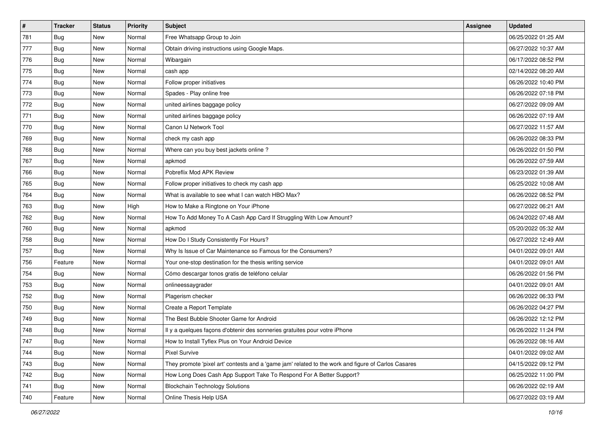| #   | <b>Tracker</b> | <b>Status</b> | <b>Priority</b> | Subject                                                                                             | <b>Assignee</b> | <b>Updated</b>      |
|-----|----------------|---------------|-----------------|-----------------------------------------------------------------------------------------------------|-----------------|---------------------|
| 781 | <b>Bug</b>     | New           | Normal          | Free Whatsapp Group to Join                                                                         |                 | 06/25/2022 01:25 AM |
| 777 | Bug            | New           | Normal          | Obtain driving instructions using Google Maps.                                                      |                 | 06/27/2022 10:37 AM |
| 776 | <b>Bug</b>     | New           | Normal          | Wibargain                                                                                           |                 | 06/17/2022 08:52 PM |
| 775 | <b>Bug</b>     | New           | Normal          | cash app                                                                                            |                 | 02/14/2022 08:20 AM |
| 774 | Bug            | New           | Normal          | Follow proper initiatives                                                                           |                 | 06/26/2022 10:40 PM |
| 773 | <b>Bug</b>     | New           | Normal          | Spades - Play online free                                                                           |                 | 06/26/2022 07:18 PM |
| 772 | <b>Bug</b>     | New           | Normal          | united airlines baggage policy                                                                      |                 | 06/27/2022 09:09 AM |
| 771 | <b>Bug</b>     | New           | Normal          | united airlines baggage policy                                                                      |                 | 06/26/2022 07:19 AM |
| 770 | <b>Bug</b>     | New           | Normal          | Canon IJ Network Tool                                                                               |                 | 06/27/2022 11:57 AM |
| 769 | Bug            | New           | Normal          | check my cash app                                                                                   |                 | 06/26/2022 08:33 PM |
| 768 | <b>Bug</b>     | New           | Normal          | Where can you buy best jackets online?                                                              |                 | 06/26/2022 01:50 PM |
| 767 | Bug            | New           | Normal          | apkmod                                                                                              |                 | 06/26/2022 07:59 AM |
| 766 | <b>Bug</b>     | New           | Normal          | Pobreflix Mod APK Review                                                                            |                 | 06/23/2022 01:39 AM |
| 765 | <b>Bug</b>     | New           | Normal          | Follow proper initiatives to check my cash app                                                      |                 | 06/25/2022 10:08 AM |
| 764 | <b>Bug</b>     | New           | Normal          | What is available to see what I can watch HBO Max?                                                  |                 | 06/26/2022 08:52 PM |
| 763 | <b>Bug</b>     | New           | High            | How to Make a Ringtone on Your iPhone                                                               |                 | 06/27/2022 06:21 AM |
| 762 | <b>Bug</b>     | New           | Normal          | How To Add Money To A Cash App Card If Struggling With Low Amount?                                  |                 | 06/24/2022 07:48 AM |
| 760 | <b>Bug</b>     | New           | Normal          | apkmod                                                                                              |                 | 05/20/2022 05:32 AM |
| 758 | Bug            | New           | Normal          | How Do I Study Consistently For Hours?                                                              |                 | 06/27/2022 12:49 AM |
| 757 | <b>Bug</b>     | New           | Normal          | Why Is Issue of Car Maintenance so Famous for the Consumers?                                        |                 | 04/01/2022 09:01 AM |
| 756 | Feature        | New           | Normal          | Your one-stop destination for the thesis writing service                                            |                 | 04/01/2022 09:01 AM |
| 754 | <b>Bug</b>     | New           | Normal          | Cómo descargar tonos gratis de teléfono celular                                                     |                 | 06/26/2022 01:56 PM |
| 753 | Bug            | New           | Normal          | onlineessaygrader                                                                                   |                 | 04/01/2022 09:01 AM |
| 752 | <b>Bug</b>     | New           | Normal          | Plagerism checker                                                                                   |                 | 06/26/2022 06:33 PM |
| 750 | Bug            | New           | Normal          | Create a Report Template                                                                            |                 | 06/26/2022 04:27 PM |
| 749 | <b>Bug</b>     | New           | Normal          | The Best Bubble Shooter Game for Android                                                            |                 | 06/26/2022 12:12 PM |
| 748 | <b>Bug</b>     | New           | Normal          | Il y a quelques façons d'obtenir des sonneries gratuites pour votre iPhone                          |                 | 06/26/2022 11:24 PM |
| 747 | I Bug          | New           | Normal          | How to Install Tyflex Plus on Your Android Device                                                   |                 | 06/26/2022 08:16 AM |
| 744 | Bug            | New           | Normal          | Pixel Survive                                                                                       |                 | 04/01/2022 09:02 AM |
| 743 | <b>Bug</b>     | New           | Normal          | They promote 'pixel art' contests and a 'game jam' related to the work and figure of Carlos Casares |                 | 04/15/2022 09:12 PM |
| 742 | <b>Bug</b>     | New           | Normal          | How Long Does Cash App Support Take To Respond For A Better Support?                                |                 | 06/25/2022 11:00 PM |
| 741 | <b>Bug</b>     | New           | Normal          | <b>Blockchain Technology Solutions</b>                                                              |                 | 06/26/2022 02:19 AM |
| 740 | Feature        | New           | Normal          | Online Thesis Help USA                                                                              |                 | 06/27/2022 03:19 AM |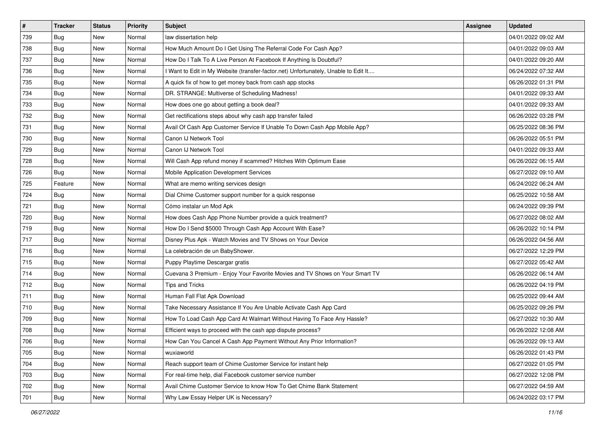| $\vert$ # | <b>Tracker</b> | <b>Status</b> | <b>Priority</b> | Subject                                                                             | <b>Assignee</b> | <b>Updated</b>      |
|-----------|----------------|---------------|-----------------|-------------------------------------------------------------------------------------|-----------------|---------------------|
| 739       | <b>Bug</b>     | New           | Normal          | law dissertation help                                                               |                 | 04/01/2022 09:02 AM |
| 738       | Bug            | New           | Normal          | How Much Amount Do I Get Using The Referral Code For Cash App?                      |                 | 04/01/2022 09:03 AM |
| 737       | <b>Bug</b>     | New           | Normal          | How Do I Talk To A Live Person At Facebook If Anything Is Doubtful?                 |                 | 04/01/2022 09:20 AM |
| 736       | <b>Bug</b>     | New           | Normal          | I Want to Edit in My Website (transfer-factor.net) Unfortunately, Unable to Edit It |                 | 06/24/2022 07:32 AM |
| 735       | Bug            | New           | Normal          | A quick fix of how to get money back from cash app stocks                           |                 | 06/26/2022 01:31 PM |
| 734       | <b>Bug</b>     | New           | Normal          | DR. STRANGE: Multiverse of Scheduling Madness!                                      |                 | 04/01/2022 09:33 AM |
| 733       | <b>Bug</b>     | New           | Normal          | How does one go about getting a book deal?                                          |                 | 04/01/2022 09:33 AM |
| 732       | Bug            | New           | Normal          | Get rectifications steps about why cash app transfer failed                         |                 | 06/26/2022 03:28 PM |
| 731       | <b>Bug</b>     | New           | Normal          | Avail Of Cash App Customer Service If Unable To Down Cash App Mobile App?           |                 | 06/25/2022 08:36 PM |
| 730       | Bug            | New           | Normal          | Canon IJ Network Tool                                                               |                 | 06/26/2022 05:51 PM |
| 729       | <b>Bug</b>     | New           | Normal          | Canon IJ Network Tool                                                               |                 | 04/01/2022 09:33 AM |
| 728       | Bug            | New           | Normal          | Will Cash App refund money if scammed? Hitches With Optimum Ease                    |                 | 06/26/2022 06:15 AM |
| 726       | <b>Bug</b>     | New           | Normal          | Mobile Application Development Services                                             |                 | 06/27/2022 09:10 AM |
| 725       | Feature        | New           | Normal          | What are memo writing services design                                               |                 | 06/24/2022 06:24 AM |
| 724       | Bug            | New           | Normal          | Dial Chime Customer support number for a quick response                             |                 | 06/25/2022 10:58 AM |
| 721       | <b>Bug</b>     | New           | Normal          | Cómo instalar un Mod Apk                                                            |                 | 06/24/2022 09:39 PM |
| 720       | <b>Bug</b>     | New           | Normal          | How does Cash App Phone Number provide a quick treatment?                           |                 | 06/27/2022 08:02 AM |
| 719       | Bug            | New           | Normal          | How Do I Send \$5000 Through Cash App Account With Ease?                            |                 | 06/26/2022 10:14 PM |
| 717       | <b>Bug</b>     | New           | Normal          | Disney Plus Apk - Watch Movies and TV Shows on Your Device                          |                 | 06/26/2022 04:56 AM |
| 716       | <b>Bug</b>     | New           | Normal          | La celebración de un BabyShower.                                                    |                 | 06/27/2022 12:29 PM |
| 715       | <b>Bug</b>     | New           | Normal          | Puppy Playtime Descargar gratis                                                     |                 | 06/27/2022 05:42 AM |
| 714       | <b>Bug</b>     | New           | Normal          | Cuevana 3 Premium - Enjoy Your Favorite Movies and TV Shows on Your Smart TV        |                 | 06/26/2022 06:14 AM |
| 712       | Bug            | New           | Normal          | <b>Tips and Tricks</b>                                                              |                 | 06/26/2022 04:19 PM |
| 711       | <b>Bug</b>     | New           | Normal          | Human Fall Flat Apk Download                                                        |                 | 06/25/2022 09:44 AM |
| 710       | Bug            | New           | Normal          | Take Necessary Assistance If You Are Unable Activate Cash App Card                  |                 | 06/25/2022 09:26 PM |
| 709       | <b>Bug</b>     | New           | Normal          | How To Load Cash App Card At Walmart Without Having To Face Any Hassle?             |                 | 06/27/2022 10:30 AM |
| 708       | <b>Bug</b>     | New           | Normal          | Efficient ways to proceed with the cash app dispute process?                        |                 | 06/26/2022 12:08 AM |
| 706       | Bug            | New           | Normal          | How Can You Cancel A Cash App Payment Without Any Prior Information?                |                 | 06/26/2022 09:13 AM |
| 705       | Bug            | New           | Normal          | wuxiaworld                                                                          |                 | 06/26/2022 01:43 PM |
| 704       | <b>Bug</b>     | New           | Normal          | Reach support team of Chime Customer Service for instant help                       |                 | 06/27/2022 01:05 PM |
| 703       | Bug            | New           | Normal          | For real-time help, dial Facebook customer service number                           |                 | 06/27/2022 12:08 PM |
| 702       | <b>Bug</b>     | New           | Normal          | Avail Chime Customer Service to know How To Get Chime Bank Statement                |                 | 06/27/2022 04:59 AM |
| 701       | <b>Bug</b>     | New           | Normal          | Why Law Essay Helper UK is Necessary?                                               |                 | 06/24/2022 03:17 PM |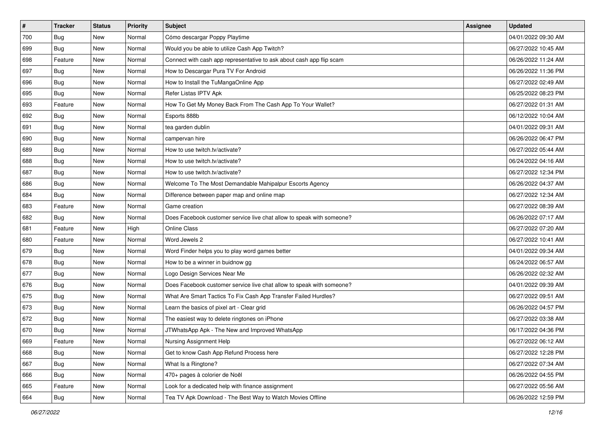| $\sharp$ | <b>Tracker</b> | <b>Status</b> | <b>Priority</b> | Subject                                                               | <b>Assignee</b> | <b>Updated</b>      |
|----------|----------------|---------------|-----------------|-----------------------------------------------------------------------|-----------------|---------------------|
| 700      | Bug            | New           | Normal          | Cómo descargar Poppy Playtime                                         |                 | 04/01/2022 09:30 AM |
| 699      | <b>Bug</b>     | New           | Normal          | Would you be able to utilize Cash App Twitch?                         |                 | 06/27/2022 10:45 AM |
| 698      | Feature        | New           | Normal          | Connect with cash app representative to ask about cash app flip scam  |                 | 06/26/2022 11:24 AM |
| 697      | Bug            | New           | Normal          | How to Descargar Pura TV For Android                                  |                 | 06/26/2022 11:36 PM |
| 696      | Bug            | New           | Normal          | How to Install the TuMangaOnline App                                  |                 | 06/27/2022 02:49 AM |
| 695      | <b>Bug</b>     | New           | Normal          | Refer Listas IPTV Apk                                                 |                 | 06/25/2022 08:23 PM |
| 693      | Feature        | New           | Normal          | How To Get My Money Back From The Cash App To Your Wallet?            |                 | 06/27/2022 01:31 AM |
| 692      | Bug            | New           | Normal          | Esports 888b                                                          |                 | 06/12/2022 10:04 AM |
| 691      | Bug            | New           | Normal          | tea garden dublin                                                     |                 | 04/01/2022 09:31 AM |
| 690      | Bug            | New           | Normal          | campervan hire                                                        |                 | 06/26/2022 06:47 PM |
| 689      | <b>Bug</b>     | New           | Normal          | How to use twitch.tv/activate?                                        |                 | 06/27/2022 05:44 AM |
| 688      | Bug            | New           | Normal          | How to use twitch.tv/activate?                                        |                 | 06/24/2022 04:16 AM |
| 687      | Bug            | New           | Normal          | How to use twitch.tv/activate?                                        |                 | 06/27/2022 12:34 PM |
| 686      | Bug            | New           | Normal          | Welcome To The Most Demandable Mahipalpur Escorts Agency              |                 | 06/26/2022 04:37 AM |
| 684      | <b>Bug</b>     | New           | Normal          | Difference between paper map and online map                           |                 | 06/27/2022 12:34 AM |
| 683      | Feature        | New           | Normal          | Game creation                                                         |                 | 06/27/2022 08:39 AM |
| 682      | <b>Bug</b>     | New           | Normal          | Does Facebook customer service live chat allow to speak with someone? |                 | 06/26/2022 07:17 AM |
| 681      | Feature        | New           | High            | <b>Online Class</b>                                                   |                 | 06/27/2022 07:20 AM |
| 680      | Feature        | New           | Normal          | Word Jewels 2                                                         |                 | 06/27/2022 10:41 AM |
| 679      | Bug            | New           | Normal          | Word Finder helps you to play word games better                       |                 | 04/01/2022 09:34 AM |
| 678      | <b>Bug</b>     | New           | Normal          | How to be a winner in buidnow gg                                      |                 | 06/24/2022 06:57 AM |
| 677      | Bug            | New           | Normal          | Logo Design Services Near Me                                          |                 | 06/26/2022 02:32 AM |
| 676      | Bug            | New           | Normal          | Does Facebook customer service live chat allow to speak with someone? |                 | 04/01/2022 09:39 AM |
| 675      | <b>Bug</b>     | New           | Normal          | What Are Smart Tactics To Fix Cash App Transfer Failed Hurdles?       |                 | 06/27/2022 09:51 AM |
| 673      | Bug            | New           | Normal          | Learn the basics of pixel art - Clear grid                            |                 | 06/26/2022 04:57 PM |
| 672      | Bug            | New           | Normal          | The easiest way to delete ringtones on iPhone                         |                 | 06/27/2022 03:38 AM |
| 670      | <b>Bug</b>     | New           | Normal          | JTWhatsApp Apk - The New and Improved WhatsApp                        |                 | 06/17/2022 04:36 PM |
| 669      | Feature        | New           | Normal          | Nursing Assignment Help                                               |                 | 06/27/2022 06:12 AM |
| 668      | <b>Bug</b>     | New           | Normal          | Get to know Cash App Refund Process here                              |                 | 06/27/2022 12:28 PM |
| 667      | <b>Bug</b>     | New           | Normal          | What Is a Ringtone?                                                   |                 | 06/27/2022 07:34 AM |
| 666      | <b>Bug</b>     | New           | Normal          | 470+ pages à colorier de Noël                                         |                 | 06/26/2022 04:55 PM |
| 665      | Feature        | New           | Normal          | Look for a dedicated help with finance assignment                     |                 | 06/27/2022 05:56 AM |
| 664      | <b>Bug</b>     | New           | Normal          | Tea TV Apk Download - The Best Way to Watch Movies Offline            |                 | 06/26/2022 12:59 PM |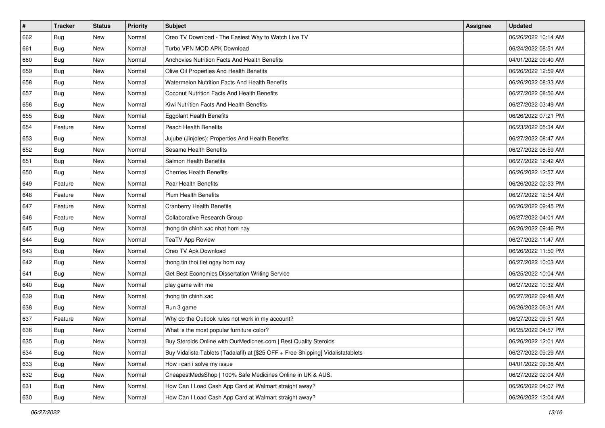| $\sharp$ | <b>Tracker</b> | <b>Status</b> | <b>Priority</b> | Subject                                                                          | <b>Assignee</b> | <b>Updated</b>      |
|----------|----------------|---------------|-----------------|----------------------------------------------------------------------------------|-----------------|---------------------|
| 662      | <b>Bug</b>     | New           | Normal          | Oreo TV Download - The Easiest Way to Watch Live TV                              |                 | 06/26/2022 10:14 AM |
| 661      | Bug            | New           | Normal          | Turbo VPN MOD APK Download                                                       |                 | 06/24/2022 08:51 AM |
| 660      | Bug            | New           | Normal          | Anchovies Nutrition Facts And Health Benefits                                    |                 | 04/01/2022 09:40 AM |
| 659      | <b>Bug</b>     | New           | Normal          | Olive Oil Properties And Health Benefits                                         |                 | 06/26/2022 12:59 AM |
| 658      | Bug            | New           | Normal          | <b>Watermelon Nutrition Facts And Health Benefits</b>                            |                 | 06/26/2022 08:33 AM |
| 657      | Bug            | New           | Normal          | <b>Coconut Nutrition Facts And Health Benefits</b>                               |                 | 06/27/2022 08:56 AM |
| 656      | Bug            | New           | Normal          | Kiwi Nutrition Facts And Health Benefits                                         |                 | 06/27/2022 03:49 AM |
| 655      | <b>Bug</b>     | New           | Normal          | <b>Eggplant Health Benefits</b>                                                  |                 | 06/26/2022 07:21 PM |
| 654      | Feature        | New           | Normal          | Peach Health Benefits                                                            |                 | 06/23/2022 05:34 AM |
| 653      | <b>Bug</b>     | New           | Normal          | Jujube (Jinjoles): Properties And Health Benefits                                |                 | 06/27/2022 08:47 AM |
| 652      | <b>Bug</b>     | New           | Normal          | <b>Sesame Health Benefits</b>                                                    |                 | 06/27/2022 08:59 AM |
| 651      | <b>Bug</b>     | New           | Normal          | Salmon Health Benefits                                                           |                 | 06/27/2022 12:42 AM |
| 650      | Bug            | New           | Normal          | <b>Cherries Health Benefits</b>                                                  |                 | 06/26/2022 12:57 AM |
| 649      | Feature        | New           | Normal          | Pear Health Benefits                                                             |                 | 06/26/2022 02:53 PM |
| 648      | Feature        | New           | Normal          | <b>Plum Health Benefits</b>                                                      |                 | 06/27/2022 12:54 AM |
| 647      | Feature        | New           | Normal          | <b>Cranberry Health Benefits</b>                                                 |                 | 06/26/2022 09:45 PM |
| 646      | Feature        | New           | Normal          | Collaborative Research Group                                                     |                 | 06/27/2022 04:01 AM |
| 645      | Bug            | New           | Normal          | thong tin chinh xac nhat hom nay                                                 |                 | 06/26/2022 09:46 PM |
| 644      | <b>Bug</b>     | New           | Normal          | <b>TeaTV App Review</b>                                                          |                 | 06/27/2022 11:47 AM |
| 643      | Bug            | New           | Normal          | Oreo TV Apk Download                                                             |                 | 06/26/2022 11:50 PM |
| 642      | <b>Bug</b>     | New           | Normal          | thong tin thoi tiet ngay hom nay                                                 |                 | 06/27/2022 10:03 AM |
| 641      | Bug            | New           | Normal          | Get Best Economics Dissertation Writing Service                                  |                 | 06/25/2022 10:04 AM |
| 640      | Bug            | New           | Normal          | play game with me                                                                |                 | 06/27/2022 10:32 AM |
| 639      | <b>Bug</b>     | New           | Normal          | thong tin chinh xac                                                              |                 | 06/27/2022 09:48 AM |
| 638      | Bug            | New           | Normal          | Run 3 game                                                                       |                 | 06/26/2022 06:31 AM |
| 637      | Feature        | New           | Normal          | Why do the Outlook rules not work in my account?                                 |                 | 06/27/2022 09:51 AM |
| 636      | Bug            | New           | Normal          | What is the most popular furniture color?                                        |                 | 06/25/2022 04:57 PM |
| 635      | <b>Bug</b>     | New           | Normal          | Buy Steroids Online with OurMedicnes.com   Best Quality Steroids                 |                 | 06/26/2022 12:01 AM |
| 634      | Bug            | New           | Normal          | Buy Vidalista Tablets (Tadalafil) at [\$25 OFF + Free Shipping] Vidalistatablets |                 | 06/27/2022 09:29 AM |
| 633      | <b>Bug</b>     | New           | Normal          | How i can i solve my issue                                                       |                 | 04/01/2022 09:38 AM |
| 632      | Bug            | New           | Normal          | CheapestMedsShop   100% Safe Medicines Online in UK & AUS.                       |                 | 06/27/2022 02:04 AM |
| 631      | Bug            | New           | Normal          | How Can I Load Cash App Card at Walmart straight away?                           |                 | 06/26/2022 04:07 PM |
| 630      | <b>Bug</b>     | New           | Normal          | How Can I Load Cash App Card at Walmart straight away?                           |                 | 06/26/2022 12:04 AM |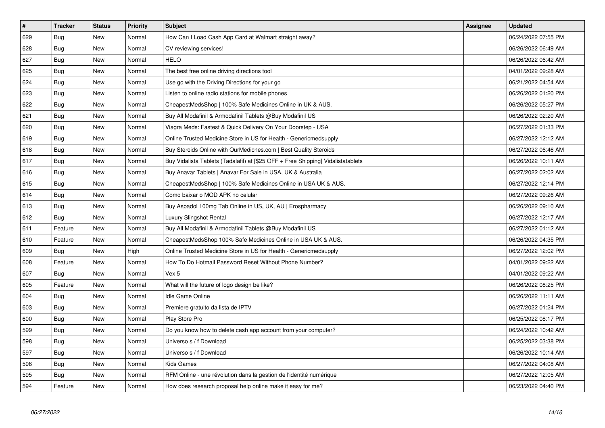| $\vert$ # | <b>Tracker</b> | <b>Status</b> | Priority | <b>Subject</b>                                                                   | <b>Assignee</b> | <b>Updated</b>      |
|-----------|----------------|---------------|----------|----------------------------------------------------------------------------------|-----------------|---------------------|
| 629       | Bug            | <b>New</b>    | Normal   | How Can I Load Cash App Card at Walmart straight away?                           |                 | 06/24/2022 07:55 PM |
| 628       | <b>Bug</b>     | New           | Normal   | CV reviewing services!                                                           |                 | 06/26/2022 06:49 AM |
| 627       | <b>Bug</b>     | <b>New</b>    | Normal   | <b>HELO</b>                                                                      |                 | 06/26/2022 06:42 AM |
| 625       | <b>Bug</b>     | New           | Normal   | The best free online driving directions tool                                     |                 | 04/01/2022 09:28 AM |
| 624       | <b>Bug</b>     | <b>New</b>    | Normal   | Use go with the Driving Directions for your go                                   |                 | 06/21/2022 04:54 AM |
| 623       | Bug            | New           | Normal   | Listen to online radio stations for mobile phones                                |                 | 06/26/2022 01:20 PM |
| 622       | Bug            | New           | Normal   | CheapestMedsShop   100% Safe Medicines Online in UK & AUS.                       |                 | 06/26/2022 05:27 PM |
| 621       | <b>Bug</b>     | New           | Normal   | Buy All Modafinil & Armodafinil Tablets @Buy Modafinil US                        |                 | 06/26/2022 02:20 AM |
| 620       | Bug            | New           | Normal   | Viagra Meds: Fastest & Quick Delivery On Your Doorstep - USA                     |                 | 06/27/2022 01:33 PM |
| 619       | <b>Bug</b>     | New           | Normal   | Online Trusted Medicine Store in US for Health - Genericmedsupply                |                 | 06/27/2022 12:12 AM |
| 618       | <b>Bug</b>     | New           | Normal   | Buy Steroids Online with OurMedicnes.com   Best Quality Steroids                 |                 | 06/27/2022 06:46 AM |
| 617       | Bug            | New           | Normal   | Buy Vidalista Tablets (Tadalafil) at [\$25 OFF + Free Shipping] Vidalistatablets |                 | 06/26/2022 10:11 AM |
| 616       | <b>Bug</b>     | New           | Normal   | Buy Anavar Tablets   Anavar For Sale in USA, UK & Australia                      |                 | 06/27/2022 02:02 AM |
| 615       | <b>Bug</b>     | New           | Normal   | CheapestMedsShop   100% Safe Medicines Online in USA UK & AUS.                   |                 | 06/27/2022 12:14 PM |
| 614       | Bug            | New           | Normal   | Como baixar o MOD APK no celular                                                 |                 | 06/27/2022 09:26 AM |
| 613       | <b>Bug</b>     | New           | Normal   | Buy Aspadol 100mg Tab Online in US, UK, AU   Erospharmacy                        |                 | 06/26/2022 09:10 AM |
| 612       | <b>Bug</b>     | New           | Normal   | Luxury Slingshot Rental                                                          |                 | 06/27/2022 12:17 AM |
| 611       | Feature        | New           | Normal   | Buy All Modafinil & Armodafinil Tablets @Buy Modafinil US                        |                 | 06/27/2022 01:12 AM |
| 610       | Feature        | New           | Normal   | CheapestMedsShop 100% Safe Medicines Online in USA UK & AUS.                     |                 | 06/26/2022 04:35 PM |
| 609       | Bug            | New           | High     | Online Trusted Medicine Store in US for Health - Genericmedsupply                |                 | 06/27/2022 12:02 PM |
| 608       | Feature        | New           | Normal   | How To Do Hotmail Password Reset Without Phone Number?                           |                 | 04/01/2022 09:22 AM |
| 607       | Bug            | <b>New</b>    | Normal   | Vex 5                                                                            |                 | 04/01/2022 09:22 AM |
| 605       | Feature        | New           | Normal   | What will the future of logo design be like?                                     |                 | 06/26/2022 08:25 PM |
| 604       | <b>Bug</b>     | <b>New</b>    | Normal   | Idle Game Online                                                                 |                 | 06/26/2022 11:11 AM |
| 603       | <b>Bug</b>     | <b>New</b>    | Normal   | Premiere gratuito da lista de IPTV                                               |                 | 06/27/2022 01:24 PM |
| 600       | Bug            | New           | Normal   | Play Store Pro                                                                   |                 | 06/25/2022 08:17 PM |
| 599       | <b>Bug</b>     | New           | Normal   | Do you know how to delete cash app account from your computer?                   |                 | 06/24/2022 10:42 AM |
| 598       | Bug            | New           | Normal   | Universo s / f Download                                                          |                 | 06/25/2022 03:38 PM |
| 597       | <b>Bug</b>     | New           | Normal   | Universo s / f Download                                                          |                 | 06/26/2022 10:14 AM |
| 596       | Bug            | New           | Normal   | Kids Games                                                                       |                 | 06/27/2022 04:08 AM |
| 595       | Bug            | New           | Normal   | RFM Online - une révolution dans la gestion de l'identité numérique              |                 | 06/27/2022 12:05 AM |
| 594       | Feature        | New           | Normal   | How does research proposal help online make it easy for me?                      |                 | 06/23/2022 04:40 PM |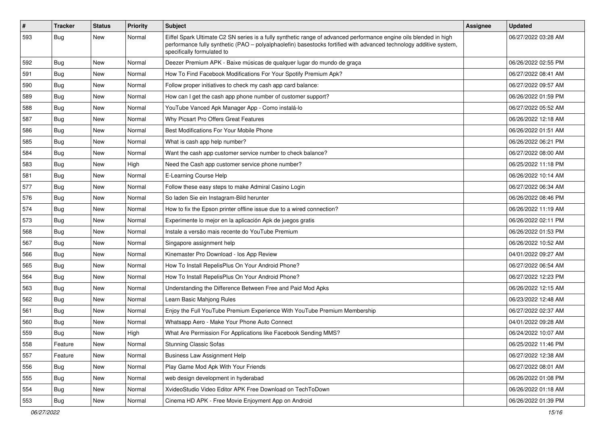| $\vert$ # | <b>Tracker</b> | <b>Status</b> | <b>Priority</b> | Subject                                                                                                                                                                                                                                                               | Assignee | <b>Updated</b>      |
|-----------|----------------|---------------|-----------------|-----------------------------------------------------------------------------------------------------------------------------------------------------------------------------------------------------------------------------------------------------------------------|----------|---------------------|
| 593       | <b>Bug</b>     | New           | Normal          | Eiffel Spark Ultimate C2 SN series is a fully synthetic range of advanced performance engine oils blended in high<br>performance fully synthetic (PAO - polyalphaolefin) basestocks fortified with advanced technology additive system,<br>specifically formulated to |          | 06/27/2022 03:28 AM |
| 592       | <b>Bug</b>     | New           | Normal          | Deezer Premium APK - Baixe músicas de qualquer lugar do mundo de graça                                                                                                                                                                                                |          | 06/26/2022 02:55 PM |
| 591       | <b>Bug</b>     | New           | Normal          | How To Find Facebook Modifications For Your Spotify Premium Apk?                                                                                                                                                                                                      |          | 06/27/2022 08:41 AM |
| 590       | <b>Bug</b>     | New           | Normal          | Follow proper initiatives to check my cash app card balance:                                                                                                                                                                                                          |          | 06/27/2022 09:57 AM |
| 589       | <b>Bug</b>     | New           | Normal          | How can I get the cash app phone number of customer support?                                                                                                                                                                                                          |          | 06/26/2022 01:59 PM |
| 588       | <b>Bug</b>     | New           | Normal          | YouTube Vanced Apk Manager App - Como instalá-lo                                                                                                                                                                                                                      |          | 06/27/2022 05:52 AM |
| 587       | Bug            | New           | Normal          | Why Picsart Pro Offers Great Features                                                                                                                                                                                                                                 |          | 06/26/2022 12:18 AM |
| 586       | <b>Bug</b>     | New           | Normal          | Best Modifications For Your Mobile Phone                                                                                                                                                                                                                              |          | 06/26/2022 01:51 AM |
| 585       | <b>Bug</b>     | New           | Normal          | What is cash app help number?                                                                                                                                                                                                                                         |          | 06/26/2022 06:21 PM |
| 584       | <b>Bug</b>     | New           | Normal          | Want the cash app customer service number to check balance?                                                                                                                                                                                                           |          | 06/27/2022 08:00 AM |
| 583       | Bug            | New           | High            | Need the Cash app customer service phone number?                                                                                                                                                                                                                      |          | 06/25/2022 11:18 PM |
| 581       | <b>Bug</b>     | New           | Normal          | E-Learning Course Help                                                                                                                                                                                                                                                |          | 06/26/2022 10:14 AM |
| 577       | <b>Bug</b>     | New           | Normal          | Follow these easy steps to make Admiral Casino Login                                                                                                                                                                                                                  |          | 06/27/2022 06:34 AM |
| 576       | Bug            | New           | Normal          | So laden Sie ein Instagram-Bild herunter                                                                                                                                                                                                                              |          | 06/26/2022 08:46 PM |
| 574       | <b>Bug</b>     | New           | Normal          | How to fix the Epson printer offline issue due to a wired connection?                                                                                                                                                                                                 |          | 06/26/2022 11:19 AM |
| 573       | Bug            | New           | Normal          | Experimente lo mejor en la aplicación Apk de juegos gratis                                                                                                                                                                                                            |          | 06/26/2022 02:11 PM |
| 568       | <b>Bug</b>     | New           | Normal          | Instale a versão mais recente do YouTube Premium                                                                                                                                                                                                                      |          | 06/26/2022 01:53 PM |
| 567       | Bug            | New           | Normal          | Singapore assignment help                                                                                                                                                                                                                                             |          | 06/26/2022 10:52 AM |
| 566       | Bug            | New           | Normal          | Kinemaster Pro Download - los App Review                                                                                                                                                                                                                              |          | 04/01/2022 09:27 AM |
| 565       | <b>Bug</b>     | New           | Normal          | How To Install RepelisPlus On Your Android Phone?                                                                                                                                                                                                                     |          | 06/27/2022 06:54 AM |
| 564       | <b>Bug</b>     | New           | Normal          | How To Install RepelisPlus On Your Android Phone?                                                                                                                                                                                                                     |          | 06/27/2022 12:23 PM |
| 563       | Bug            | New           | Normal          | Understanding the Difference Between Free and Paid Mod Apks                                                                                                                                                                                                           |          | 06/26/2022 12:15 AM |
| 562       | <b>Bug</b>     | New           | Normal          | Learn Basic Mahjong Rules                                                                                                                                                                                                                                             |          | 06/23/2022 12:48 AM |
| 561       | Bug            | New           | Normal          | Enjoy the Full YouTube Premium Experience With YouTube Premium Membership                                                                                                                                                                                             |          | 06/27/2022 02:37 AM |
| 560       | <b>Bug</b>     | New           | Normal          | Whatsapp Aero - Make Your Phone Auto Connect                                                                                                                                                                                                                          |          | 04/01/2022 09:28 AM |
| 559       | <b>Bug</b>     | New           | High            | What Are Permission For Applications like Facebook Sending MMS?                                                                                                                                                                                                       |          | 06/24/2022 10:07 AM |
| 558       | Feature        | New           | Normal          | <b>Stunning Classic Sofas</b>                                                                                                                                                                                                                                         |          | 06/25/2022 11:46 PM |
| 557       | Feature        | New           | Normal          | <b>Business Law Assignment Help</b>                                                                                                                                                                                                                                   |          | 06/27/2022 12:38 AM |
| 556       | Bug            | New           | Normal          | Play Game Mod Apk With Your Friends                                                                                                                                                                                                                                   |          | 06/27/2022 08:01 AM |
| 555       | <b>Bug</b>     | New           | Normal          | web design development in hyderabad                                                                                                                                                                                                                                   |          | 06/26/2022 01:08 PM |
| 554       | Bug            | New           | Normal          | XvideoStudio Video Editor APK Free Download on TechToDown                                                                                                                                                                                                             |          | 06/26/2022 01:18 AM |
| 553       | <b>Bug</b>     | New           | Normal          | Cinema HD APK - Free Movie Enjoyment App on Android                                                                                                                                                                                                                   |          | 06/26/2022 01:39 PM |